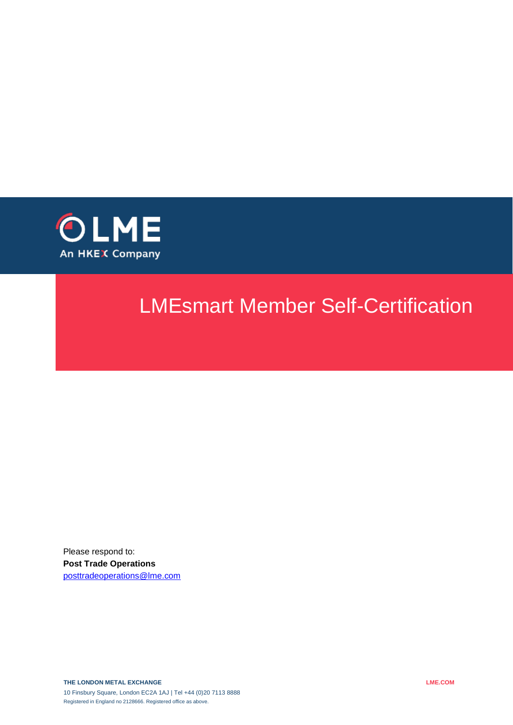

# LMEsmart Member Self-Certification

Please respond to: **Post Trade Operations**  [posttradeoperations@lme.com](mailto:posttradeoperations@lme.com)

**THE LONDON METAL EXCHANGE** 10 Finsbury Square, London EC2A 1AJ | Tel +44 (0)20 7113 8888 Registered in England no 2128666. Registered office as above.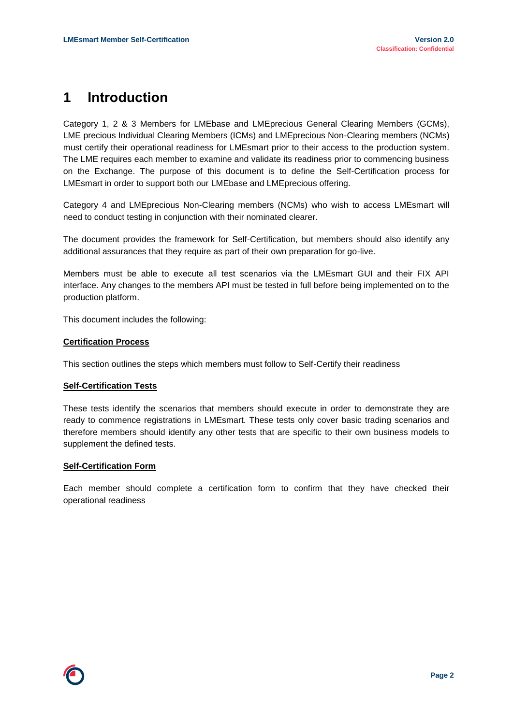### **1 Introduction**

Category 1, 2 & 3 Members for LMEbase and LMEprecious General Clearing Members (GCMs), LME precious Individual Clearing Members (ICMs) and LMEprecious Non-Clearing members (NCMs) must certify their operational readiness for LMEsmart prior to their access to the production system. The LME requires each member to examine and validate its readiness prior to commencing business on the Exchange. The purpose of this document is to define the Self-Certification process for LMEsmart in order to support both our LMEbase and LMEprecious offering.

Category 4 and LMEprecious Non-Clearing members (NCMs) who wish to access LMEsmart will need to conduct testing in conjunction with their nominated clearer.

The document provides the framework for Self-Certification, but members should also identify any additional assurances that they require as part of their own preparation for go-live.

Members must be able to execute all test scenarios via the LMEsmart GUI and their FIX API interface. Any changes to the members API must be tested in full before being implemented on to the production platform.

This document includes the following:

#### **Certification Process**

This section outlines the steps which members must follow to Self-Certify their readiness

#### **Self-Certification Tests**

These tests identify the scenarios that members should execute in order to demonstrate they are ready to commence registrations in LMEsmart. These tests only cover basic trading scenarios and therefore members should identify any other tests that are specific to their own business models to supplement the defined tests.

#### **Self-Certification Form**

Each member should complete a certification form to confirm that they have checked their operational readiness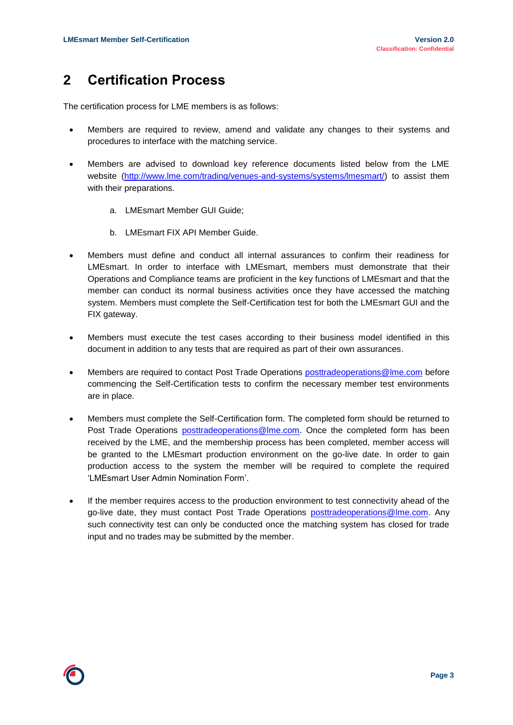## **2 Certification Process**

The certification process for LME members is as follows:

- Members are required to review, amend and validate any changes to their systems and procedures to interface with the matching service.
- Members are advised to download key reference documents listed below from the LME website (http://www.lme.com/trading/venues-and-systems/systems/lmesmart/) to assist them with their preparations.
	- a. LMEsmart Member GUI Guide;
	- b. LMEsmart FIX API Member Guide.
- Members must define and conduct all internal assurances to confirm their readiness for LMEsmart. In order to interface with LMEsmart, members must demonstrate that their Operations and Compliance teams are proficient in the key functions of LMEsmart and that the member can conduct its normal business activities once they have accessed the matching system. Members must complete the Self-Certification test for both the LMEsmart GUI and the FIX gateway.
- Members must execute the test cases according to their business model identified in this document in addition to any tests that are required as part of their own assurances.
- Members are required to contact Post Trade Operations [posttradeoperations@lme.com](mailto:posttradeoperations@lme.com) before commencing the Self-Certification tests to confirm the necessary member test environments are in place.
- Members must complete the Self-Certification form. The completed form should be returned to Post Trade Operations [posttradeoperations@lme.com.](mailto:posttradeoperations@lme.com) Once the completed form has been received by the LME, and the membership process has been completed, member access will be granted to the LMEsmart production environment on the go-live date. In order to gain production access to the system the member will be required to complete the required 'LMEsmart User Admin Nomination Form'.
- If the member requires access to the production environment to test connectivity ahead of the go-live date, they must contact Post Trade Operations [posttradeoperations@lme.com.](mailto:posttradeoperations@lme.com) Any such connectivity test can only be conducted once the matching system has closed for trade input and no trades may be submitted by the member.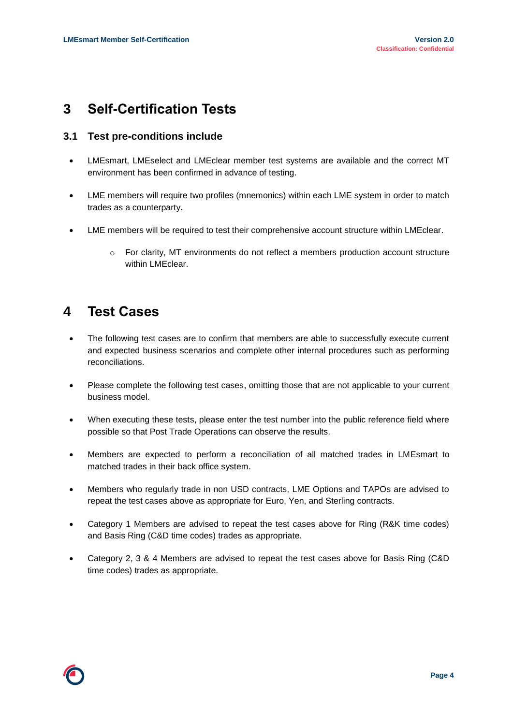### **3 Self-Certification Tests**

#### **3.1 Test pre-conditions include**

- LMEsmart, LMEselect and LMEclear member test systems are available and the correct MT environment has been confirmed in advance of testing.
- LME members will require two profiles (mnemonics) within each LME system in order to match trades as a counterparty.
- LME members will be required to test their comprehensive account structure within LMEclear.
	- o For clarity, MT environments do not reflect a members production account structure within LMEclear.

### **4 Test Cases**

- The following test cases are to confirm that members are able to successfully execute current and expected business scenarios and complete other internal procedures such as performing reconciliations.
- Please complete the following test cases, omitting those that are not applicable to your current business model.
- When executing these tests, please enter the test number into the public reference field where possible so that Post Trade Operations can observe the results.
- Members are expected to perform a reconciliation of all matched trades in LMEsmart to matched trades in their back office system.
- Members who regularly trade in non USD contracts, LME Options and TAPOs are advised to repeat the test cases above as appropriate for Euro, Yen, and Sterling contracts.
- Category 1 Members are advised to repeat the test cases above for Ring (R&K time codes) and Basis Ring (C&D time codes) trades as appropriate.
- Category 2, 3 & 4 Members are advised to repeat the test cases above for Basis Ring (C&D time codes) trades as appropriate.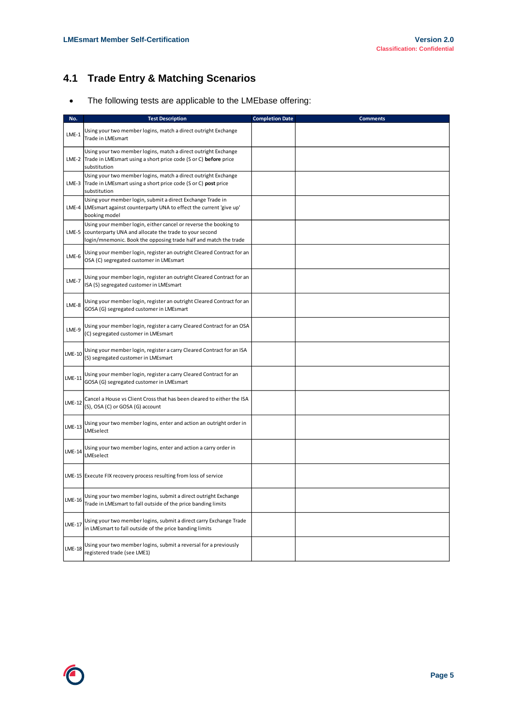### **4.1 Trade Entry & Matching Scenarios**

The following tests are applicable to the LMEbase offering:

| No.           | <b>Test Description</b>                                                                                                                                                                        | <b>Completion Date</b> | <b>Comments</b> |
|---------------|------------------------------------------------------------------------------------------------------------------------------------------------------------------------------------------------|------------------------|-----------------|
| $LME-1$       | Using your two member logins, match a direct outright Exchange<br>Trade in LMEsmart                                                                                                            |                        |                 |
|               | Using your two member logins, match a direct outright Exchange<br>LME-2 Trade in LMEsmart using a short price code (S or C) before price<br>substitution                                       |                        |                 |
| $LME-3$       | Using your two member logins, match a direct outright Exchange<br>Trade in LMEsmart using a short price code (S or C) post price<br>substitution                                               |                        |                 |
| LME-4         | Using your member login, submit a direct Exchange Trade in<br>LMEsmart against counterparty UNA to effect the current 'give up'<br>booking model                                               |                        |                 |
| $LME-5$       | Using your member login, either cancel or reverse the booking to<br>counterparty UNA and allocate the trade to your second<br>login/mnemonic. Book the opposing trade half and match the trade |                        |                 |
| $LME-6$       | Using your member login, register an outright Cleared Contract for an<br>OSA (C) segregated customer in LMEsmart                                                                               |                        |                 |
| $LME-7$       | Using your member login, register an outright Cleared Contract for an<br>ISA (S) segregated customer in LMEsmart                                                                               |                        |                 |
| LME-8         | Using your member login, register an outright Cleared Contract for an<br>GOSA (G) segregated customer in LMEsmart                                                                              |                        |                 |
| LME-9         | Using your member login, register a carry Cleared Contract for an OSA<br>(C) segregated customer in LMEsmart                                                                                   |                        |                 |
| <b>LME-10</b> | Using your member login, register a carry Cleared Contract for an ISA<br>(S) segregated customer in LMEsmart                                                                                   |                        |                 |
| LME-11        | Using your member login, register a carry Cleared Contract for an<br>GOSA (G) segregated customer in LMEsmart                                                                                  |                        |                 |
| LME-12        | Cancel a House vs Client Cross that has been cleared to either the ISA<br>(S), OSA (C) or GOSA (G) account                                                                                     |                        |                 |
| LME-13        | Using your two member logins, enter and action an outright order in<br>LMEselect                                                                                                               |                        |                 |
| <b>LME-14</b> | Using your two member logins, enter and action a carry order in<br>LMEselect                                                                                                                   |                        |                 |
|               | LME-15 Execute FIX recovery process resulting from loss of service                                                                                                                             |                        |                 |
| <b>LME-16</b> | Using your two member logins, submit a direct outright Exchange<br>Trade in LMEsmart to fall outside of the price banding limits                                                               |                        |                 |
| <b>LME-17</b> | Using your two member logins, submit a direct carry Exchange Trade<br>in LMEsmart to fall outside of the price banding limits                                                                  |                        |                 |
| <b>LME-18</b> | Using your two member logins, submit a reversal for a previously<br>registered trade (see LME1)                                                                                                |                        |                 |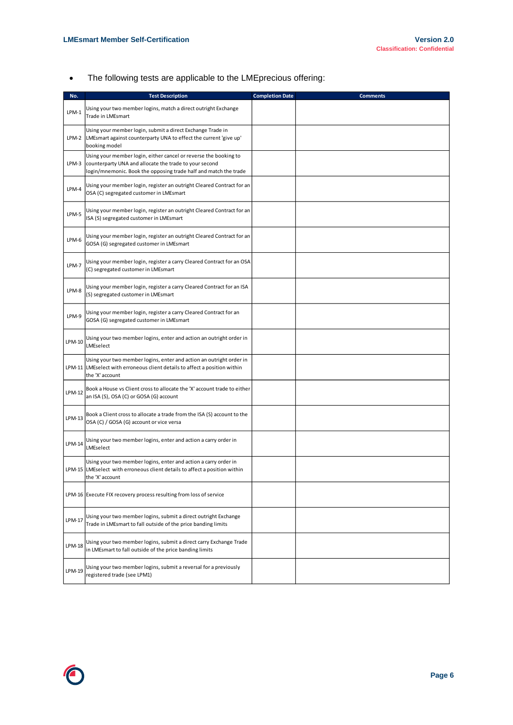The following tests are applicable to the LMEprecious offering:

| No.     | <b>Test Description</b>                                                                                                                                                                        | <b>Completion Date</b> | <b>Comments</b> |
|---------|------------------------------------------------------------------------------------------------------------------------------------------------------------------------------------------------|------------------------|-----------------|
| $LPM-1$ | Using your two member logins, match a direct outright Exchange<br>Trade in LMEsmart                                                                                                            |                        |                 |
| LPM-2   | Using your member login, submit a direct Exchange Trade in<br>LMEsmart against counterparty UNA to effect the current 'give up'<br>booking model                                               |                        |                 |
| LPM-3   | Using your member login, either cancel or reverse the booking to<br>counterparty UNA and allocate the trade to your second<br>login/mnemonic. Book the opposing trade half and match the trade |                        |                 |
| LPM-4   | Using your member login, register an outright Cleared Contract for an<br>OSA (C) segregated customer in LMEsmart                                                                               |                        |                 |
| LPM-5   | Using your member login, register an outright Cleared Contract for an<br>ISA (S) segregated customer in LMEsmart                                                                               |                        |                 |
| LPM-6   | Using your member login, register an outright Cleared Contract for an<br>GOSA (G) segregated customer in LMEsmart                                                                              |                        |                 |
| LPM-7   | Using your member login, register a carry Cleared Contract for an OSA<br>(C) segregated customer in LMEsmart                                                                                   |                        |                 |
| LPM-8   | Using your member login, register a carry Cleared Contract for an ISA<br>(S) segregated customer in LMEsmart                                                                                   |                        |                 |
| LPM-9   | Using your member login, register a carry Cleared Contract for an<br>GOSA (G) segregated customer in LMEsmart                                                                                  |                        |                 |
| LPM-10  | Using your two member logins, enter and action an outright order in<br>LMEselect                                                                                                               |                        |                 |
| LPM-11  | Using your two member logins, enter and action an outright order in<br>LMEselect with erroneous client details to affect a position within<br>the 'X' account                                  |                        |                 |
| LPM-12  | Book a House vs Client cross to allocate the 'X' account trade to either<br>an ISA (S), OSA (C) or GOSA (G) account                                                                            |                        |                 |
| LPM-13  | Book a Client cross to allocate a trade from the ISA (S) account to the<br>OSA (C) / GOSA (G) account or vice versa                                                                            |                        |                 |
| LPM-14  | Using your two member logins, enter and action a carry order in<br>LMEselect                                                                                                                   |                        |                 |
|         | Using your two member logins, enter and action a carry order in<br>LPM-15 LMEselect with erroneous client details to affect a position within<br>the 'X' account                               |                        |                 |
|         | LPM-16 Execute FIX recovery process resulting from loss of service                                                                                                                             |                        |                 |
| LPM-17  | Using your two member logins, submit a direct outright Exchange<br>Trade in LMEsmart to fall outside of the price banding limits                                                               |                        |                 |
| LPM-18  | Using your two member logins, submit a direct carry Exchange Trade<br>in LMEsmart to fall outside of the price banding limits                                                                  |                        |                 |
| LPM-19  | Using your two member logins, submit a reversal for a previously<br>registered trade (see LPM1)                                                                                                |                        |                 |